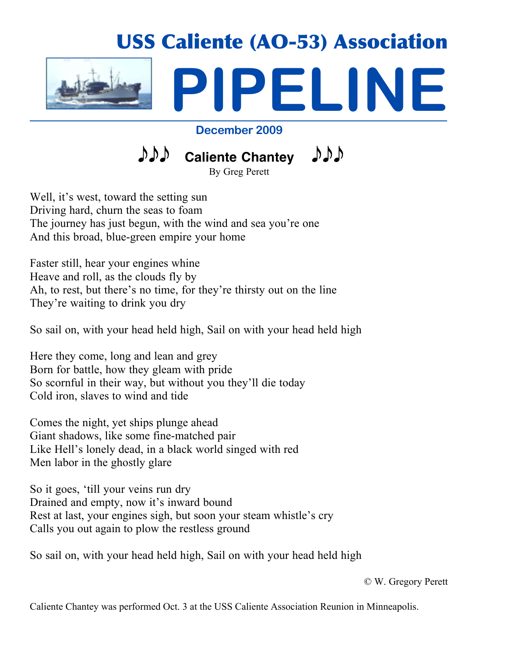

# **December 2009**

*DDD* Caliente Chantey  $D D D$ 

By Greg Perett

Well, it's west, toward the setting sun Driving hard, churn the seas to foam The journey has just begun, with the wind and sea you're one And this broad, blue-green empire your home

Faster still, hear your engines whine Heave and roll, as the clouds fly by Ah, to rest, but there's no time, for they're thirsty out on the line They're waiting to drink you dry

So sail on, with your head held high, Sail on with your head held high

Here they come, long and lean and grey Born for battle, how they gleam with pride So scornful in their way, but without you they'll die today Cold iron, slaves to wind and tide

Comes the night, yet ships plunge ahead Giant shadows, like some fine-matched pair Like Hell's lonely dead, in a black world singed with red Men labor in the ghostly glare

So it goes, 'till your veins run dry Drained and empty, now it's inward bound Rest at last, your engines sigh, but soon your steam whistle's cry Calls you out again to plow the restless ground

So sail on, with your head held high, Sail on with your head held high

© W. Gregory Perett

Caliente Chantey was performed Oct. 3 at the USS Caliente Association Reunion in Minneapolis.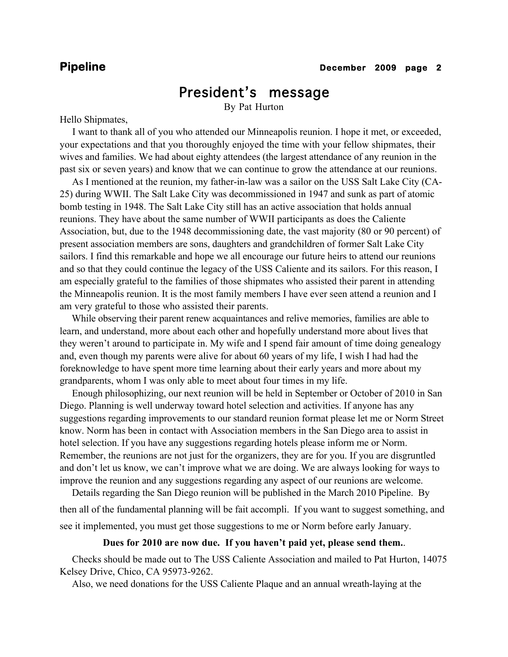# President's message

By Pat Hurton

Hello Shipmates,

 I want to thank all of you who attended our Minneapolis reunion. I hope it met, or exceeded, your expectations and that you thoroughly enjoyed the time with your fellow shipmates, their wives and families. We had about eighty attendees (the largest attendance of any reunion in the past six or seven years) and know that we can continue to grow the attendance at our reunions.

 As I mentioned at the reunion, my father-in-law was a sailor on the USS Salt Lake City (CA-25) during WWII. The Salt Lake City was decommissioned in 1947 and sunk as part of atomic bomb testing in 1948. The Salt Lake City still has an active association that holds annual reunions. They have about the same number of WWII participants as does the Caliente Association, but, due to the 1948 decommissioning date, the vast majority (80 or 90 percent) of present association members are sons, daughters and grandchildren of former Salt Lake City sailors. I find this remarkable and hope we all encourage our future heirs to attend our reunions and so that they could continue the legacy of the USS Caliente and its sailors. For this reason, I am especially grateful to the families of those shipmates who assisted their parent in attending the Minneapolis reunion. It is the most family members I have ever seen attend a reunion and I am very grateful to those who assisted their parents.

 While observing their parent renew acquaintances and relive memories, families are able to learn, and understand, more about each other and hopefully understand more about lives that they weren't around to participate in. My wife and I spend fair amount of time doing genealogy and, even though my parents were alive for about 60 years of my life, I wish I had had the foreknowledge to have spent more time learning about their early years and more about my grandparents, whom I was only able to meet about four times in my life.

 Enough philosophizing, our next reunion will be held in September or October of 2010 in San Diego. Planning is well underway toward hotel selection and activities. If anyone has any suggestions regarding improvements to our standard reunion format please let me or Norm Street know. Norm has been in contact with Association members in the San Diego area to assist in hotel selection. If you have any suggestions regarding hotels please inform me or Norm. Remember, the reunions are not just for the organizers, they are for you. If you are disgruntled and don't let us know, we can't improve what we are doing. We are always looking for ways to improve the reunion and any suggestions regarding any aspect of our reunions are welcome.

 Details regarding the San Diego reunion will be published in the March 2010 Pipeline. By then all of the fundamental planning will be fait accompli. If you want to suggest something, and see it implemented, you must get those suggestions to me or Norm before early January.

## **Dues for 2010 are now due. If you haven't paid yet, please send them.**.

 Checks should be made out to The USS Caliente Association and mailed to Pat Hurton, 14075 Kelsey Drive, Chico, CA 95973-9262.

Also, we need donations for the USS Caliente Plaque and an annual wreath-laying at the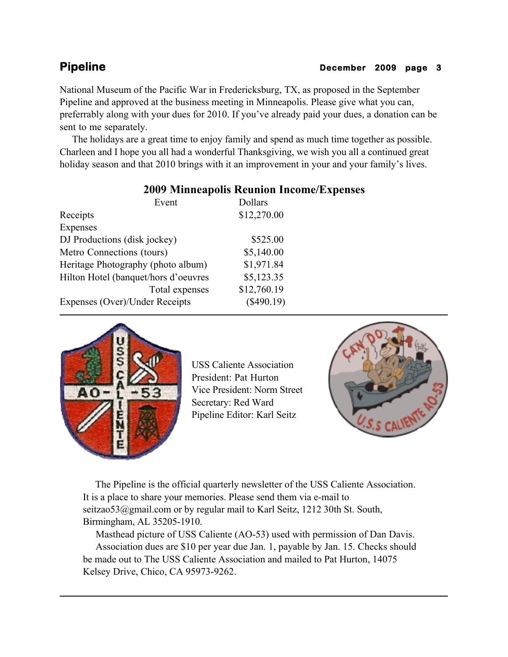# **Pipeline December 2009 page 3**

National Museum of the Pacific War in Fredericksburg, TX, as proposed in the September Pipeline and approved at the business meeting in Minneapolis. Please give what you can, preferrably along with your dues for 2010. If you've already paid your dues, a donation can be sent to me separately.

 The holidays are a great time to enjoy family and spend as much time together as possible. Charleen and I hope you all had a wonderful Thanksgiving, we wish you all a continued great holiday season and that 2010 brings with it an improvement in your and your family's lives.

# **2009 Minneapolis Reunion Income/Expenses**

| Event                                | Dollars      |
|--------------------------------------|--------------|
| Receipts                             | \$12,270.00  |
| Expenses                             |              |
| DJ Productions (disk jockey)         | \$525.00     |
| Metro Connections (tours)            | \$5,140.00   |
| Heritage Photography (photo album)   | \$1,971.84   |
| Hilton Hotel (banquet/hors d'oeuvres | \$5,123.35   |
| Total expenses                       | \$12,760.19  |
| Expenses (Over)/Under Receipts       | $(\$490.19)$ |



USS Caliente Association President: Pat Hurton Vice President: Norm Street Secretary: Red Ward Pipeline Editor: Karl Seitz



 The Pipeline is the official quarterly newsletter of the USS Caliente Association. It is a place to share your memories. Please send them via e-mail to seitzao53@gmail.com or by regular mail to Karl Seitz, 1212 30th St. South, Birmingham, AL 35205-1910.

 Masthead picture of USS Caliente (AO-53) used with permission of Dan Davis. Association dues are \$10 per year due Jan. 1, payable by Jan. 15. Checks should be made out to The USS Caliente Association and mailed to Pat Hurton, 14075 Kelsey Drive, Chico, CA 95973-9262.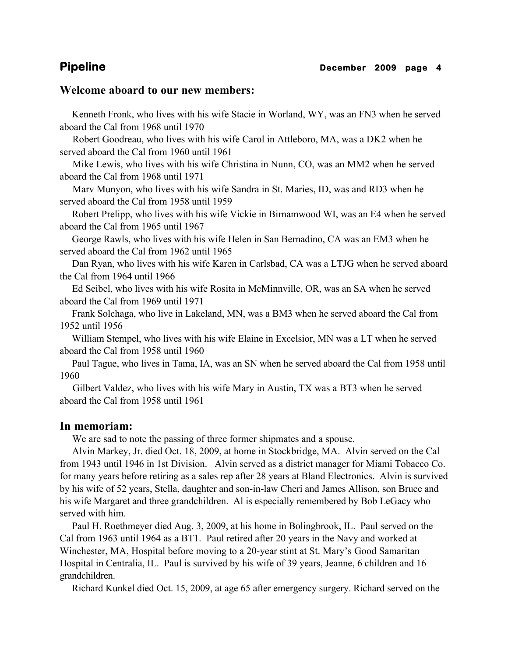# **Welcome aboard to our new members:**

 Kenneth Fronk, who lives with his wife Stacie in Worland, WY, was an FN3 when he served aboard the Cal from 1968 until 1970

 Robert Goodreau, who lives with his wife Carol in Attleboro, MA, was a DK2 when he served aboard the Cal from 1960 until 1961

 Mike Lewis, who lives with his wife Christina in Nunn, CO, was an MM2 when he served aboard the Cal from 1968 until 1971

 Marv Munyon, who lives with his wife Sandra in St. Maries, ID, was and RD3 when he served aboard the Cal from 1958 until 1959

 Robert Prelipp, who lives with his wife Vickie in Birnamwood WI, was an E4 when he served aboard the Cal from 1965 until 1967

 George Rawls, who lives with his wife Helen in San Bernadino, CA was an EM3 when he served aboard the Cal from 1962 until 1965

 Dan Ryan, who lives with his wife Karen in Carlsbad, CA was a LTJG when he served aboard the Cal from 1964 until 1966

 Ed Seibel, who lives with his wife Rosita in McMinnville, OR, was an SA when he served aboard the Cal from 1969 until 1971

 Frank Solchaga, who live in Lakeland, MN, was a BM3 when he served aboard the Cal from 1952 until 1956

 William Stempel, who lives with his wife Elaine in Excelsior, MN was a LT when he served aboard the Cal from 1958 until 1960

 Paul Tague, who lives in Tama, IA, was an SN when he served aboard the Cal from 1958 until 1960

 Gilbert Valdez, who lives with his wife Mary in Austin, TX was a BT3 when he served aboard the Cal from 1958 until 1961

# **In memoriam:**

We are sad to note the passing of three former shipmates and a spouse.

 Alvin Markey, Jr. died Oct. 18, 2009, at home in Stockbridge, MA. Alvin served on the Cal from 1943 until 1946 in 1st Division. Alvin served as a district manager for Miami Tobacco Co. for many years before retiring as a sales rep after 28 years at Bland Electronics. Alvin is survived by his wife of 52 years, Stella, daughter and son-in-law Cheri and James Allison, son Bruce and his wife Margaret and three grandchildren. Al is especially remembered by Bob LeGacy who served with him.

 Paul H. Roethmeyer died Aug. 3, 2009, at his home in Bolingbrook, IL. Paul served on the Cal from 1963 until 1964 as a BT1. Paul retired after 20 years in the Navy and worked at Winchester, MA, Hospital before moving to a 20-year stint at St. Mary's Good Samaritan Hospital in Centralia, IL. Paul is survived by his wife of 39 years, Jeanne, 6 children and 16 grandchildren.

Richard Kunkel died Oct. 15, 2009, at age 65 after emergency surgery. Richard served on the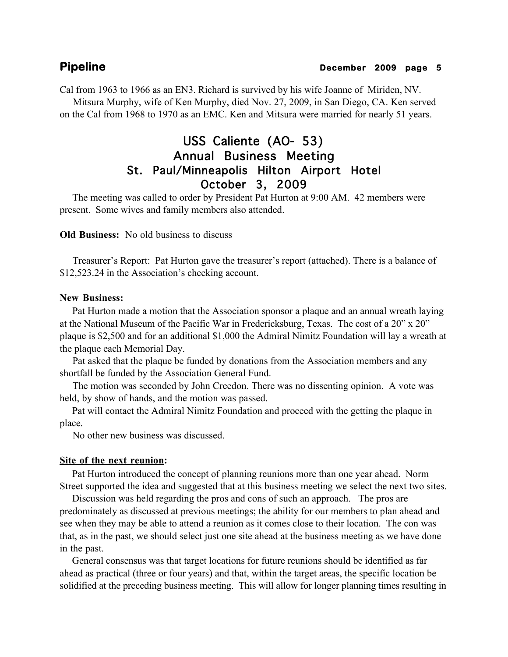Cal from 1963 to 1966 as an EN3. Richard is survived by his wife Joanne of Miriden, NV.

 Mitsura Murphy, wife of Ken Murphy, died Nov. 27, 2009, in San Diego, CA. Ken served on the Cal from 1968 to 1970 as an EMC. Ken and Mitsura were married for nearly 51 years.

# USS Caliente (AO- 53) Annual Business Meeting St. Paul/Minneapolis Hilton Airport Hotel October 3, 2009

 The meeting was called to order by President Pat Hurton at 9:00 AM. 42 members were present. Some wives and family members also attended.

**Old Business:** No old business to discuss

 Treasurer's Report: Pat Hurton gave the treasurer's report (attached). There is a balance of \$12,523.24 in the Association's checking account.

# **New Business:**

 Pat Hurton made a motion that the Association sponsor a plaque and an annual wreath laying at the National Museum of the Pacific War in Fredericksburg, Texas. The cost of a 20" x 20" plaque is \$2,500 and for an additional \$1,000 the Admiral Nimitz Foundation will lay a wreath at the plaque each Memorial Day.

 Pat asked that the plaque be funded by donations from the Association members and any shortfall be funded by the Association General Fund.

 The motion was seconded by John Creedon. There was no dissenting opinion. A vote was held, by show of hands, and the motion was passed.

 Pat will contact the Admiral Nimitz Foundation and proceed with the getting the plaque in place.

No other new business was discussed.

# **Site of the next reunion:**

 Pat Hurton introduced the concept of planning reunions more than one year ahead. Norm Street supported the idea and suggested that at this business meeting we select the next two sites.

 Discussion was held regarding the pros and cons of such an approach. The pros are predominately as discussed at previous meetings; the ability for our members to plan ahead and see when they may be able to attend a reunion as it comes close to their location. The con was that, as in the past, we should select just one site ahead at the business meeting as we have done in the past.

 General consensus was that target locations for future reunions should be identified as far ahead as practical (three or four years) and that, within the target areas, the specific location be solidified at the preceding business meeting. This will allow for longer planning times resulting in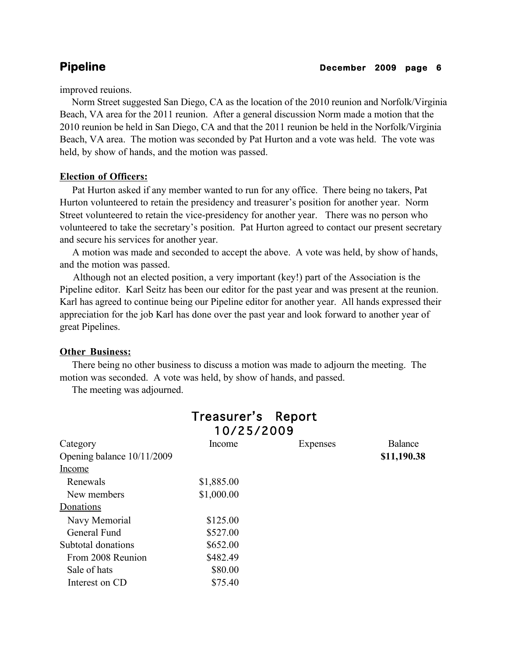improved reuions.

 Norm Street suggested San Diego, CA as the location of the 2010 reunion and Norfolk/Virginia Beach, VA area for the 2011 reunion. After a general discussion Norm made a motion that the 2010 reunion be held in San Diego, CA and that the 2011 reunion be held in the Norfolk/Virginia Beach, VA area. The motion was seconded by Pat Hurton and a vote was held. The vote was held, by show of hands, and the motion was passed.

# **Election of Officers:**

 Pat Hurton asked if any member wanted to run for any office. There being no takers, Pat Hurton volunteered to retain the presidency and treasurer's position for another year. Norm Street volunteered to retain the vice-presidency for another year. There was no person who volunteered to take the secretary's position. Pat Hurton agreed to contact our present secretary and secure his services for another year.

 A motion was made and seconded to accept the above. A vote was held, by show of hands, and the motion was passed.

 Although not an elected position, a very important (key!) part of the Association is the Pipeline editor. Karl Seitz has been our editor for the past year and was present at the reunion. Karl has agreed to continue being our Pipeline editor for another year. All hands expressed their appreciation for the job Karl has done over the past year and look forward to another year of great Pipelines.

# **Other Business:**

 There being no other business to discuss a motion was made to adjourn the meeting. The motion was seconded. A vote was held, by show of hands, and passed.

The meeting was adjourned.

|                            | Treasurer's Report |          |                |
|----------------------------|--------------------|----------|----------------|
|                            | 10/25/2009         |          |                |
| Category                   | Income             | Expenses | <b>Balance</b> |
| Opening balance 10/11/2009 |                    |          | \$11,190.38    |
| Income                     |                    |          |                |
| Renewals                   | \$1,885.00         |          |                |
| New members                | \$1,000.00         |          |                |
| Donations                  |                    |          |                |
| Navy Memorial              | \$125.00           |          |                |
| General Fund               | \$527.00           |          |                |
| Subtotal donations         | \$652.00           |          |                |
| From 2008 Reunion          | \$482.49           |          |                |
| Sale of hats               | \$80.00            |          |                |
| Interest on CD             | \$75.40            |          |                |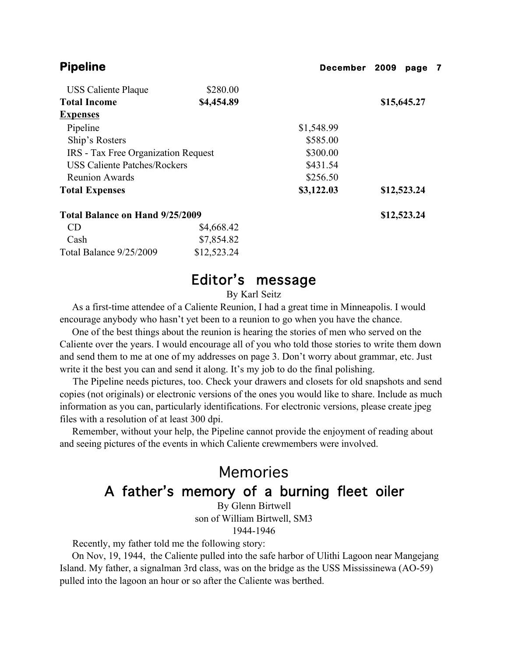| <b>Pipeline</b>                     |             | December   | 2009        | page 7      |  |
|-------------------------------------|-------------|------------|-------------|-------------|--|
| <b>USS Caliente Plaque</b>          | \$280.00    |            |             |             |  |
| <b>Total Income</b>                 | \$4,454.89  |            | \$15,645.27 |             |  |
| <b>Expenses</b>                     |             |            |             |             |  |
| Pipeline                            |             | \$1,548.99 |             |             |  |
| Ship's Rosters                      |             | \$585.00   |             |             |  |
| IRS - Tax Free Organization Request |             | \$300.00   |             |             |  |
| <b>USS Caliente Patches/Rockers</b> |             | \$431.54   |             |             |  |
| <b>Reunion Awards</b>               |             | \$256.50   |             |             |  |
| <b>Total Expenses</b>               |             | \$3,122.03 |             | \$12,523.24 |  |
| Total Balance on Hand 9/25/2009     |             |            |             | \$12,523.24 |  |
| <b>CD</b>                           | \$4,668.42  |            |             |             |  |
| Cash                                | \$7,854.82  |            |             |             |  |
| Total Balance 9/25/2009             | \$12,523.24 |            |             |             |  |

# Editor's message

By Karl Seitz

 As a first-time attendee of a Caliente Reunion, I had a great time in Minneapolis. I would encourage anybody who hasn't yet been to a reunion to go when you have the chance.

 One of the best things about the reunion is hearing the stories of men who served on the Caliente over the years. I would encourage all of you who told those stories to write them down and send them to me at one of my addresses on page 3. Don't worry about grammar, etc. Just write it the best you can and send it along. It's my job to do the final polishing.

 The Pipeline needs pictures, too. Check your drawers and closets for old snapshots and send copies (not originals) or electronic versions of the ones you would like to share. Include as much information as you can, particularly identifications. For electronic versions, please create jpeg files with a resolution of at least 300 dpi.

 Remember, without your help, the Pipeline cannot provide the enjoyment of reading about and seeing pictures of the events in which Caliente crewmembers were involved.

# Memories A father's memory of a burning fleet oiler

By Glenn Birtwell son of William Birtwell, SM3 1944-1946

Recently, my father told me the following story:

 On Nov, 19, 1944, the Caliente pulled into the safe harbor of Ulithi Lagoon near Mangejang Island. My father, a signalman 3rd class, was on the bridge as the USS Mississinewa (AO-59) pulled into the lagoon an hour or so after the Caliente was berthed.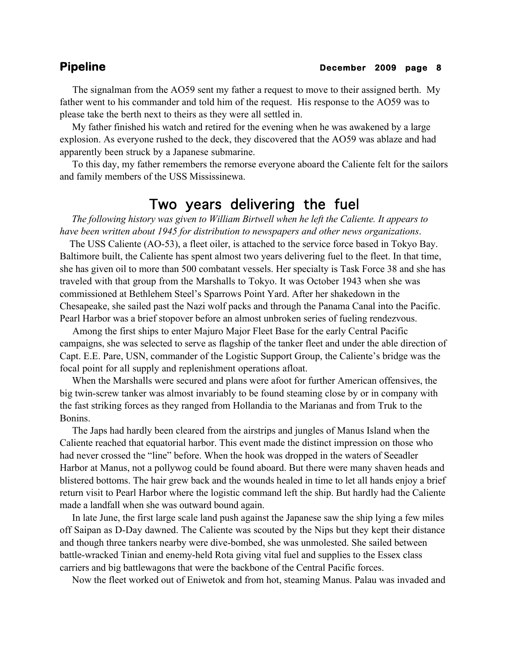The signalman from the AO59 sent my father a request to move to their assigned berth. My father went to his commander and told him of the request. His response to the AO59 was to please take the berth next to theirs as they were all settled in.

 My father finished his watch and retired for the evening when he was awakened by a large explosion. As everyone rushed to the deck, they discovered that the AO59 was ablaze and had apparently been struck by a Japanese submarine.

 To this day, my father remembers the remorse everyone aboard the Caliente felt for the sailors and family members of the USS Mississinewa.

# Two years delivering the fuel

 *The following history was given to William Birtwell when he left the Caliente. It appears to have been written about 1945 for distribution to newspapers and other news organizations*.

 The USS Caliente (AO-53), a fleet oiler, is attached to the service force based in Tokyo Bay. Baltimore built, the Caliente has spent almost two years delivering fuel to the fleet. In that time, she has given oil to more than 500 combatant vessels. Her specialty is Task Force 38 and she has traveled with that group from the Marshalls to Tokyo. It was October 1943 when she was commissioned at Bethlehem Steel's Sparrows Point Yard. After her shakedown in the Chesapeake, she sailed past the Nazi wolf packs and through the Panama Canal into the Pacific. Pearl Harbor was a brief stopover before an almost unbroken series of fueling rendezvous.

 Among the first ships to enter Majuro Major Fleet Base for the early Central Pacific campaigns, she was selected to serve as flagship of the tanker fleet and under the able direction of Capt. E.E. Pare, USN, commander of the Logistic Support Group, the Caliente's bridge was the focal point for all supply and replenishment operations afloat.

 When the Marshalls were secured and plans were afoot for further American offensives, the big twin-screw tanker was almost invariably to be found steaming close by or in company with the fast striking forces as they ranged from Hollandia to the Marianas and from Truk to the Bonins.

 The Japs had hardly been cleared from the airstrips and jungles of Manus Island when the Caliente reached that equatorial harbor. This event made the distinct impression on those who had never crossed the "line" before. When the hook was dropped in the waters of Seeadler Harbor at Manus, not a pollywog could be found aboard. But there were many shaven heads and blistered bottoms. The hair grew back and the wounds healed in time to let all hands enjoy a brief return visit to Pearl Harbor where the logistic command left the ship. But hardly had the Caliente made a landfall when she was outward bound again.

 In late June, the first large scale land push against the Japanese saw the ship lying a few miles off Saipan as D-Day dawned. The Caliente was scouted by the Nips but they kept their distance and though three tankers nearby were dive-bombed, she was unmolested. She sailed between battle-wracked Tinian and enemy-held Rota giving vital fuel and supplies to the Essex class carriers and big battlewagons that were the backbone of the Central Pacific forces.

Now the fleet worked out of Eniwetok and from hot, steaming Manus. Palau was invaded and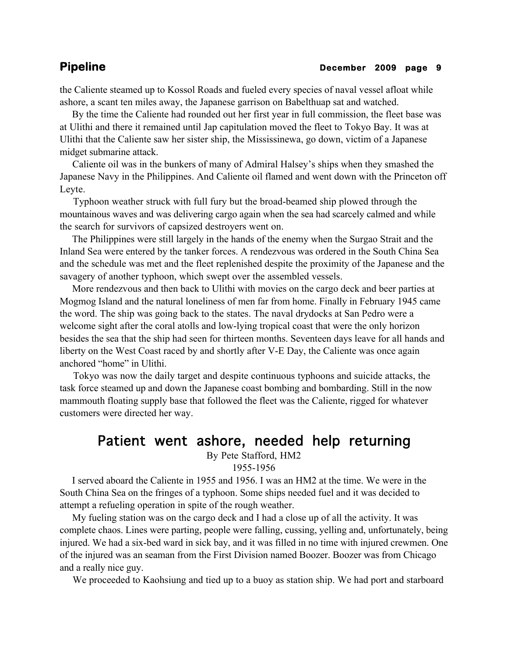the Caliente steamed up to Kossol Roads and fueled every species of naval vessel afloat while ashore, a scant ten miles away, the Japanese garrison on Babelthuap sat and watched.

 By the time the Caliente had rounded out her first year in full commission, the fleet base was at Ulithi and there it remained until Jap capitulation moved the fleet to Tokyo Bay. It was at Ulithi that the Caliente saw her sister ship, the Mississinewa, go down, victim of a Japanese midget submarine attack.

 Caliente oil was in the bunkers of many of Admiral Halsey's ships when they smashed the Japanese Navy in the Philippines. And Caliente oil flamed and went down with the Princeton off Leyte.

 Typhoon weather struck with full fury but the broad-beamed ship plowed through the mountainous waves and was delivering cargo again when the sea had scarcely calmed and while the search for survivors of capsized destroyers went on.

 The Philippines were still largely in the hands of the enemy when the Surgao Strait and the Inland Sea were entered by the tanker forces. A rendezvous was ordered in the South China Sea and the schedule was met and the fleet replenished despite the proximity of the Japanese and the savagery of another typhoon, which swept over the assembled vessels.

 More rendezvous and then back to Ulithi with movies on the cargo deck and beer parties at Mogmog Island and the natural loneliness of men far from home. Finally in February 1945 came the word. The ship was going back to the states. The naval drydocks at San Pedro were a welcome sight after the coral atolls and low-lying tropical coast that were the only horizon besides the sea that the ship had seen for thirteen months. Seventeen days leave for all hands and liberty on the West Coast raced by and shortly after V-E Day, the Caliente was once again anchored "home" in Ulithi.

 Tokyo was now the daily target and despite continuous typhoons and suicide attacks, the task force steamed up and down the Japanese coast bombing and bombarding. Still in the now mammouth floating supply base that followed the fleet was the Caliente, rigged for whatever customers were directed her way.

# Patient went ashore, needed help returning

By Pete Stafford, HM2

1955-1956

 I served aboard the Caliente in 1955 and 1956. I was an HM2 at the time. We were in the South China Sea on the fringes of a typhoon. Some ships needed fuel and it was decided to attempt a refueling operation in spite of the rough weather.

 My fueling station was on the cargo deck and I had a close up of all the activity. It was complete chaos. Lines were parting, people were falling, cussing, yelling and, unfortunately, being injured. We had a six-bed ward in sick bay, and it was filled in no time with injured crewmen. One of the injured was an seaman from the First Division named Boozer. Boozer was from Chicago and a really nice guy.

We proceeded to Kaohsiung and tied up to a buoy as station ship. We had port and starboard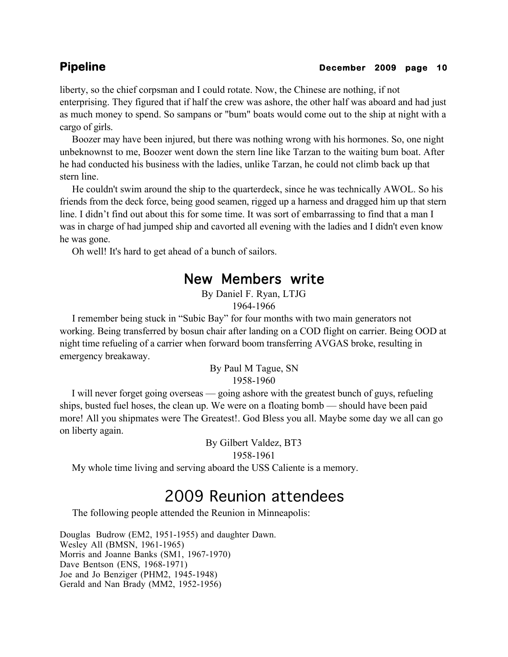# **Pipeline December 2009 page 10**

liberty, so the chief corpsman and I could rotate. Now, the Chinese are nothing, if not enterprising. They figured that if half the crew was ashore, the other half was aboard and had just as much money to spend. So sampans or "bum" boats would come out to the ship at night with a cargo of girls.

 Boozer may have been injured, but there was nothing wrong with his hormones. So, one night unbeknownst to me, Boozer went down the stern line like Tarzan to the waiting bum boat. After he had conducted his business with the ladies, unlike Tarzan, he could not climb back up that stern line.

 He couldn't swim around the ship to the quarterdeck, since he was technically AWOL. So his friends from the deck force, being good seamen, rigged up a harness and dragged him up that stern line. I didn't find out about this for some time. It was sort of embarrassing to find that a man I was in charge of had jumped ship and cavorted all evening with the ladies and I didn't even know he was gone.

Oh well! It's hard to get ahead of a bunch of sailors.

# New Members write

By Daniel F. Ryan, LTJG 1964-1966

 I remember being stuck in "Subic Bay" for four months with two main generators not working. Being transferred by bosun chair after landing on a COD flight on carrier. Being OOD at night time refueling of a carrier when forward boom transferring AVGAS broke, resulting in emergency breakaway.

> By Paul M Tague, SN 1958-1960

 I will never forget going overseas — going ashore with the greatest bunch of guys, refueling ships, busted fuel hoses, the clean up. We were on a floating bomb — should have been paid more! All you shipmates were The Greatest!. God Bless you all. Maybe some day we all can go on liberty again.

> By Gilbert Valdez, BT3 1958-1961

My whole time living and serving aboard the USS Caliente is a memory.

# 2009 Reunion attendees

The following people attended the Reunion in Minneapolis:

Douglas Budrow (EM2, 1951-1955) and daughter Dawn. Wesley All (BMSN, 1961-1965) Morris and Joanne Banks (SM1, 1967-1970) Dave Bentson (ENS, 1968-1971) Joe and Jo Benziger (PHM2, 1945-1948) Gerald and Nan Brady (MM2, 1952-1956)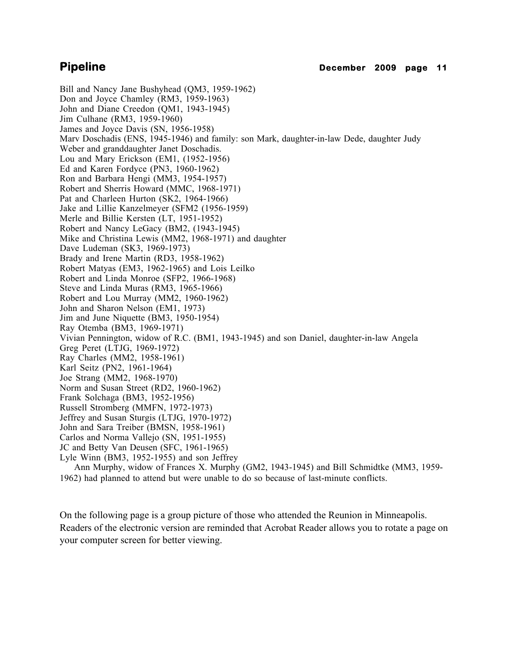Bill and Nancy Jane Bushyhead (QM3, 1959-1962) Don and Joyce Chamley (RM3, 1959-1963) John and Diane Creedon (QM1, 1943-1945) Jim Culhane (RM3, 1959-1960) James and Joyce Davis (SN, 1956-1958) Marv Doschadis (ENS, 1945-1946) and family: son Mark, daughter-in-law Dede, daughter Judy Weber and granddaughter Janet Doschadis. Lou and Mary Erickson (EM1, (1952-1956) Ed and Karen Fordyce (PN3, 1960-1962) Ron and Barbara Hengi (MM3, 1954-1957) Robert and Sherris Howard (MMC, 1968-1971) Pat and Charleen Hurton (SK2, 1964-1966) Jake and Lillie Kanzelmeyer (SFM2 (1956-1959) Merle and Billie Kersten (LT, 1951-1952) Robert and Nancy LeGacy (BM2, (1943-1945) Mike and Christina Lewis (MM2, 1968-1971) and daughter Dave Ludeman (SK3, 1969-1973) Brady and Irene Martin (RD3, 1958-1962) Robert Matyas (EM3, 1962-1965) and Lois Leilko Robert and Linda Monroe (SFP2, 1966-1968) Steve and Linda Muras (RM3, 1965-1966) Robert and Lou Murray (MM2, 1960-1962) John and Sharon Nelson (EM1, 1973) Jim and June Niquette (BM3, 1950-1954) Ray Otemba (BM3, 1969-1971) Vivian Pennington, widow of R.C. (BM1, 1943-1945) and son Daniel, daughter-in-law Angela Greg Peret (LTJG, 1969-1972) Ray Charles (MM2, 1958-1961) Karl Seitz (PN2, 1961-1964) Joe Strang (MM2, 1968-1970) Norm and Susan Street (RD2, 1960-1962) Frank Solchaga (BM3, 1952-1956) Russell Stromberg (MMFN, 1972-1973) Jeffrey and Susan Sturgis (LTJG, 1970-1972) John and Sara Treiber (BMSN, 1958-1961) Carlos and Norma Vallejo (SN, 1951-1955) JC and Betty Van Deusen (SFC, 1961-1965) Lyle Winn (BM3, 1952-1955) and son Jeffrey Ann Murphy, widow of Frances X. Murphy (GM2, 1943-1945) and Bill Schmidtke (MM3, 1959- 1962) had planned to attend but were unable to do so because of last-minute conflicts.

On the following page is a group picture of those who attended the Reunion in Minneapolis. Readers of the electronic version are reminded that Acrobat Reader allows you to rotate a page on your computer screen for better viewing.